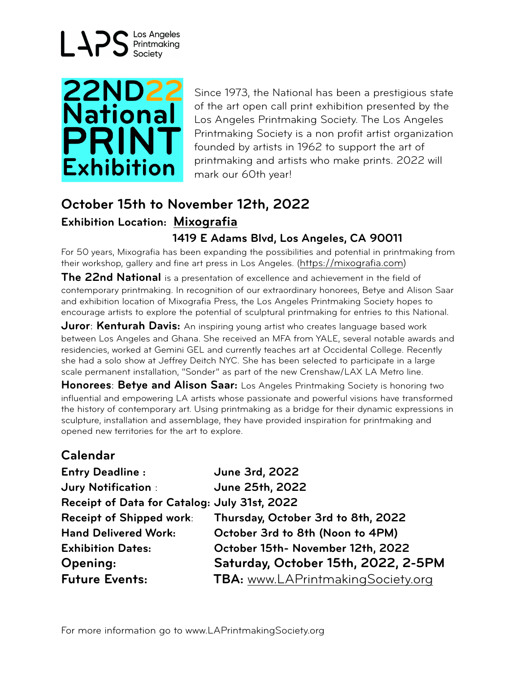# LAPS **Examples**



Since 1973, the National has been a prestigious state of the art open call print exhibition presented by the Los Angeles Printmaking Society. The Los Angeles Printmaking Society is a non profit artist organization founded by artists in 1962 to support the art of printmaking and artists who make prints. 2022 will mark our 60th year!

## **October 15th to November 12th, 2022 Exhibition Location: [Mixografia](https://mixografia.com)**

### **1419 E Adams Blvd, Los Angeles, CA 90011**

For 50 years, Mixografia has been expanding the possibilities and potential in printmaking from their workshop, gallery and fine art press in Los Angeles. [\(https://mixografia.com\)](https://mixografia.com)

**The 22nd National** is a presentation of excellence and achievement in the field of contemporary printmaking. In recognition of our extraordinary honorees, Betye and Alison Saar and exhibition location of Mixografia Press, the Los Angeles Printmaking Society hopes to encourage artists to explore the potential of sculptural printmaking for entries to this National.

**Juror: Kenturah Davis:** An inspiring young artist who creates language based work between Los Angeles and Ghana. She received an MFA from YALE, several notable awards and residencies, worked at Gemini GEL and currently teaches art at Occidental College. Recently she had a solo show at Jeffrey Deitch NYC. She has been selected to participate in a large scale permanent installation, "Sonder" as part of the new Crenshaw/LAX LA Metro line.

**Honorees**: **Betye and Alison Saar:** Los Angeles Printmaking Society is honoring two influential and empowering LA artists whose passionate and powerful visions have transformed the history of contemporary art. Using printmaking as a bridge for their dynamic expressions in sculpture, installation and assemblage, they have provided inspiration for printmaking and opened new territories for the art to explore.

## **Calendar**

| <b>Entry Deadline:</b>                       | June 3rd, 2022                           |
|----------------------------------------------|------------------------------------------|
| <b>Jury Notification:</b>                    | June 25th, 2022                          |
| Receipt of Data for Catalog: July 31st, 2022 |                                          |
| Receipt of Shipped work:                     | Thursday, October 3rd to 8th, 2022       |
| <b>Hand Delivered Work:</b>                  | October 3rd to 8th (Noon to 4PM)         |
| <b>Exhibition Dates:</b>                     | October 15th- November 12th, 2022        |
| Opening:                                     | Saturday, October 15th, 2022, 2-5PM      |
| <b>Future Events:</b>                        | <b>TBA:</b> www.LAPrintmakingSociety.org |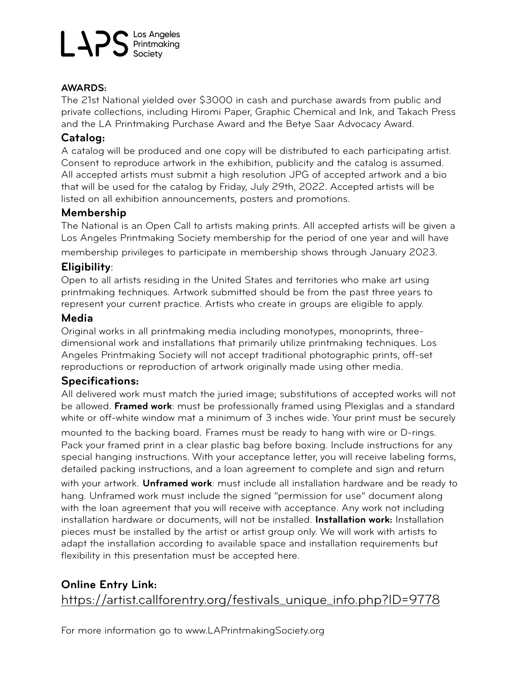

#### **AWARDS:**

The 21st National yielded over \$3000 in cash and purchase awards from public and private collections, including Hiromi Paper, Graphic Chemical and Ink, and Takach Press and the LA Printmaking Purchase Award and the Betye Saar Advocacy Award.

#### **Catalog:**

A catalog will be produced and one copy will be distributed to each participating artist. Consent to reproduce artwork in the exhibition, publicity and the catalog is assumed. All accepted artists must submit a high resolution JPG of accepted artwork and a bio that will be used for the catalog by Friday, July 29th, 2022. Accepted artists will be listed on all exhibition announcements, posters and promotions.

#### **Membership**

The National is an Open Call to artists making prints. All accepted artists will be given a Los Angeles Printmaking Society membership for the period of one year and will have

membership privileges to participate in membership shows through January 2023.

#### **Eligibility**:

Open to all artists residing in the United States and territories who make art using printmaking techniques. Artwork submitted should be from the past three years to represent your current practice. Artists who create in groups are eligible to apply.

#### **Media**

Original works in all printmaking media including monotypes, monoprints, threedimensional work and installations that primarily utilize printmaking techniques. Los Angeles Printmaking Society will not accept traditional photographic prints, off-set reproductions or reproduction of artwork originally made using other media.

#### **Specifications:**

All delivered work must match the juried image; substitutions of accepted works will not be allowed. **Framed work**: must be professionally framed using Plexiglas and a standard white or off-white window mat a minimum of 3 inches wide. Your print must be securely

mounted to the backing board. Frames must be ready to hang with wire or D-rings. Pack your framed print in a clear plastic bag before boxing. Include instructions for any special hanging instructions. With your acceptance letter, you will receive labeling forms, detailed packing instructions, and a loan agreement to complete and sign and return

with your artwork. **Unframed work**: must include all installation hardware and be ready to hang. Unframed work must include the signed "permission for use" document along with the loan agreement that you will receive with acceptance. Any work not including installation hardware or documents, will not be installed. **Installation work:** Installation pieces must be installed by the artist or artist group only. We will work with artists to adapt the installation according to available space and installation requirements but flexibility in this presentation must be accepted here.

## **Online Entry Link:**  [https://artist.callforentry.org/festivals\\_unique\\_info.php?ID=9778](https://artist.callforentry.org/festivals_unique_info.php?ID=9778)